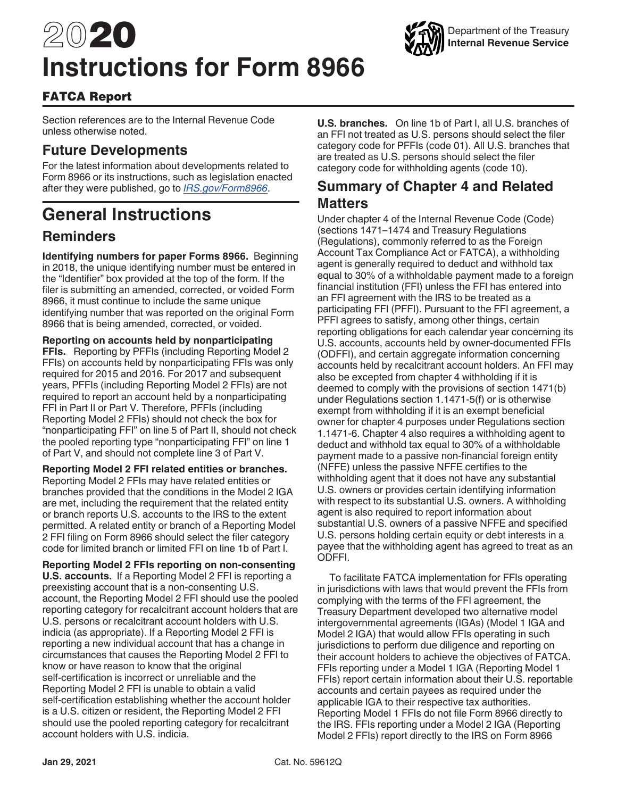# 2020 **Instructions for Form 8966**



## FATCA Report

Section references are to the Internal Revenue Code unless otherwise noted.

## **Future Developments**

For the latest information about developments related to Form 8966 or its instructions, such as legislation enacted after they were published, go to *[IRS.gov/Form8966](https://www.irs.gov/form8966)*.

## **General Instructions**

## **Reminders**

**Identifying numbers for paper Forms 8966.** Beginning in 2018, the unique identifying number must be entered in the "Identifier" box provided at the top of the form. If the filer is submitting an amended, corrected, or voided Form 8966, it must continue to include the same unique identifying number that was reported on the original Form 8966 that is being amended, corrected, or voided.

**Reporting on accounts held by nonparticipating FFIs.** Reporting by PFFIs (including Reporting Model 2 FFIs) on accounts held by nonparticipating FFIs was only required for 2015 and 2016. For 2017 and subsequent years, PFFIs (including Reporting Model 2 FFIs) are not required to report an account held by a nonparticipating FFI in Part II or Part V. Therefore, PFFIs (including Reporting Model 2 FFIs) should not check the box for "nonparticipating FFI" on line 5 of Part II, should not check the pooled reporting type "nonparticipating FFI" on line 1 of Part V, and should not complete line 3 of Part V.

**Reporting Model 2 FFI related entities or branches.**  Reporting Model 2 FFIs may have related entities or branches provided that the conditions in the Model 2 IGA are met, including the requirement that the related entity or branch reports U.S. accounts to the IRS to the extent permitted. A related entity or branch of a Reporting Model 2 FFI filing on Form 8966 should select the filer category code for limited branch or limited FFI on line 1b of Part I.

**Reporting Model 2 FFIs reporting on non-consenting U.S. accounts.** If a Reporting Model 2 FFI is reporting a preexisting account that is a non-consenting U.S. account, the Reporting Model 2 FFI should use the pooled reporting category for recalcitrant account holders that are U.S. persons or recalcitrant account holders with U.S. indicia (as appropriate). If a Reporting Model 2 FFI is reporting a new individual account that has a change in circumstances that causes the Reporting Model 2 FFI to know or have reason to know that the original self-certification is incorrect or unreliable and the Reporting Model 2 FFI is unable to obtain a valid self-certification establishing whether the account holder is a U.S. citizen or resident, the Reporting Model 2 FFI should use the pooled reporting category for recalcitrant account holders with U.S. indicia.

**U.S. branches.** On line 1b of Part I, all U.S. branches of an FFI not treated as U.S. persons should select the filer category code for PFFIs (code 01). All U.S. branches that are treated as U.S. persons should select the filer category code for withholding agents (code 10).

## **Summary of Chapter 4 and Related Matters**

Under chapter 4 of the Internal Revenue Code (Code) (sections 1471–1474 and Treasury Regulations (Regulations), commonly referred to as the Foreign Account Tax Compliance Act or FATCA), a withholding agent is generally required to deduct and withhold tax equal to 30% of a withholdable payment made to a foreign financial institution (FFI) unless the FFI has entered into an FFI agreement with the IRS to be treated as a participating FFI (PFFI). Pursuant to the FFI agreement, a PFFI agrees to satisfy, among other things, certain reporting obligations for each calendar year concerning its U.S. accounts, accounts held by owner-documented FFIs (ODFFI), and certain aggregate information concerning accounts held by recalcitrant account holders. An FFI may also be excepted from chapter 4 withholding if it is deemed to comply with the provisions of section 1471(b) under Regulations section 1.1471-5(f) or is otherwise exempt from withholding if it is an exempt beneficial owner for chapter 4 purposes under Regulations section 1.1471-6. Chapter 4 also requires a withholding agent to deduct and withhold tax equal to 30% of a withholdable payment made to a passive non-financial foreign entity (NFFE) unless the passive NFFE certifies to the withholding agent that it does not have any substantial U.S. owners or provides certain identifying information with respect to its substantial U.S. owners. A withholding agent is also required to report information about substantial U.S. owners of a passive NFFE and specified U.S. persons holding certain equity or debt interests in a payee that the withholding agent has agreed to treat as an ODFFI.

To facilitate FATCA implementation for FFIs operating in jurisdictions with laws that would prevent the FFIs from complying with the terms of the FFI agreement, the Treasury Department developed two alternative model intergovernmental agreements (IGAs) (Model 1 IGA and Model 2 IGA) that would allow FFIs operating in such jurisdictions to perform due diligence and reporting on their account holders to achieve the objectives of FATCA. FFIs reporting under a Model 1 IGA (Reporting Model 1 FFIs) report certain information about their U.S. reportable accounts and certain payees as required under the applicable IGA to their respective tax authorities. Reporting Model 1 FFIs do not file Form 8966 directly to the IRS. FFIs reporting under a Model 2 IGA (Reporting Model 2 FFIs) report directly to the IRS on Form 8966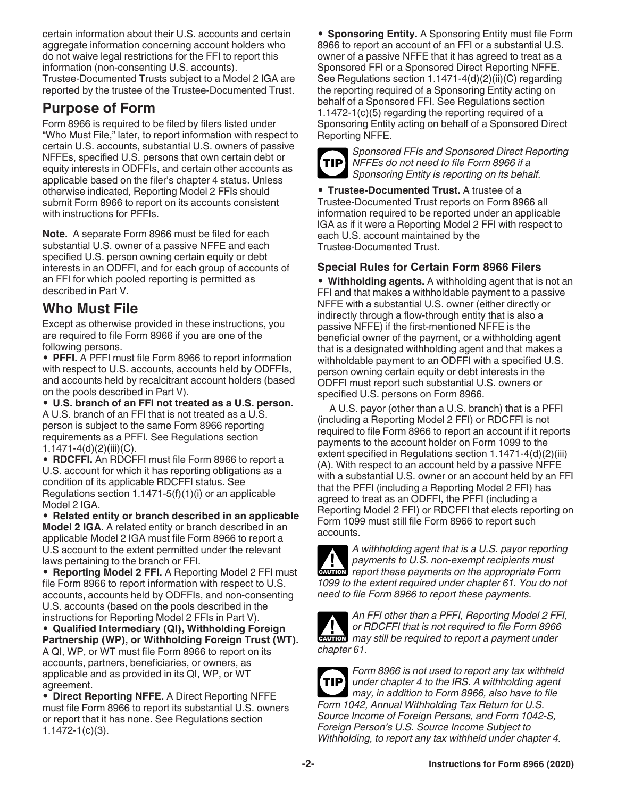certain information about their U.S. accounts and certain aggregate information concerning account holders who do not waive legal restrictions for the FFI to report this information (non-consenting U.S. accounts). Trustee-Documented Trusts subject to a Model 2 IGA are reported by the trustee of the Trustee-Documented Trust.

## **Purpose of Form**

Form 8966 is required to be filed by filers listed under "Who Must File," later, to report information with respect to certain U.S. accounts, substantial U.S. owners of passive NFFEs, specified U.S. persons that own certain debt or equity interests in ODFFIs, and certain other accounts as applicable based on the filer's chapter 4 status. Unless otherwise indicated, Reporting Model 2 FFIs should submit Form 8966 to report on its accounts consistent with instructions for PFFIs.

**Note.** A separate Form 8966 must be filed for each substantial U.S. owner of a passive NFFE and each specified U.S. person owning certain equity or debt interests in an ODFFI, and for each group of accounts of an FFI for which pooled reporting is permitted as described in Part V.

## **Who Must File**

Except as otherwise provided in these instructions, you are required to file Form 8966 if you are one of the following persons.

• **PFFI.** A PFFI must file Form 8966 to report information with respect to U.S. accounts, accounts held by ODFFIs, and accounts held by recalcitrant account holders (based on the pools described in Part V).

• **U.S. branch of an FFI not treated as a U.S. person.**  A U.S. branch of an FFI that is not treated as a U.S. person is subject to the same Form 8966 reporting requirements as a PFFI. See Regulations section 1.1471-4(d)(2)(iii)(C).

• **RDCFFI.** An RDCFFI must file Form 8966 to report a U.S. account for which it has reporting obligations as a condition of its applicable RDCFFI status. See Regulations section  $1.1471-5(f)(1)(i)$  or an applicable Model 2 IGA.

• **Related entity or branch described in an applicable Model 2 IGA.** A related entity or branch described in an applicable Model 2 IGA must file Form 8966 to report a U.S account to the extent permitted under the relevant laws pertaining to the branch or FFI.

• **Reporting Model 2 FFI.** A Reporting Model 2 FFI must file Form 8966 to report information with respect to U.S. accounts, accounts held by ODFFIs, and non-consenting U.S. accounts (based on the pools described in the instructions for Reporting Model 2 FFIs in Part V).

• **Qualified Intermediary (QI), Withholding Foreign Partnership (WP), or Withholding Foreign Trust (WT).**  A QI, WP, or WT must file Form 8966 to report on its accounts, partners, beneficiaries, or owners, as applicable and as provided in its QI, WP, or WT agreement.

• **Direct Reporting NFFE.** A Direct Reporting NFFE must file Form 8966 to report its substantial U.S. owners or report that it has none. See Regulations section 1.1472-1(c)(3).

• **Sponsoring Entity.** A Sponsoring Entity must file Form 8966 to report an account of an FFI or a substantial U.S. owner of a passive NFFE that it has agreed to treat as a Sponsored FFI or a Sponsored Direct Reporting NFFE. See Regulations section 1.1471-4(d)(2)(ii)(C) regarding the reporting required of a Sponsoring Entity acting on behalf of a Sponsored FFI. See Regulations section 1.1472-1(c)(5) regarding the reporting required of a Sponsoring Entity acting on behalf of a Sponsored Direct Reporting NFFE.



*Sponsored FFIs and Sponsored Direct Reporting NFFEs do not need to file Form 8966 if a Sponsoring Entity is reporting on its behalf.*

• **Trustee-Documented Trust.** A trustee of a Trustee-Documented Trust reports on Form 8966 all information required to be reported under an applicable IGA as if it were a Reporting Model 2 FFI with respect to each U.S. account maintained by the Trustee-Documented Trust.

## **Special Rules for Certain Form 8966 Filers**

• **Withholding agents.** A withholding agent that is not an FFI and that makes a withholdable payment to a passive NFFE with a substantial U.S. owner (either directly or indirectly through a flow-through entity that is also a passive NFFE) if the first-mentioned NFFE is the beneficial owner of the payment, or a withholding agent that is a designated withholding agent and that makes a withholdable payment to an ODFFI with a specified U.S. person owning certain equity or debt interests in the ODFFI must report such substantial U.S. owners or specified U.S. persons on Form 8966.

A U.S. payor (other than a U.S. branch) that is a PFFI (including a Reporting Model 2 FFI) or RDCFFI is not required to file Form 8966 to report an account if it reports payments to the account holder on Form 1099 to the extent specified in Regulations section 1.1471-4(d)(2)(iii) (A). With respect to an account held by a passive NFFE with a substantial U.S. owner or an account held by an FFI that the PFFI (including a Reporting Model 2 FFI) has agreed to treat as an ODFFI, the PFFI (including a Reporting Model 2 FFI) or RDCFFI that elects reporting on Form 1099 must still file Form 8966 to report such accounts.



*A withholding agent that is a U.S. payor reporting payments to U.S. non-exempt recipients must*  **Proportance** *report these payments on the appropriate Form 1099 to the extent required under chapter 61. You do not need to file Form 8966 to report these payments.*



*An FFI other than a PFFI, Reporting Model 2 FFI, or RDCFFI that is not required to file Form 8966*  or RDCFFI that is not required to file Form 8966 *chapter 61.*



*Form 8966 is not used to report any tax withheld under chapter 4 to the IRS. A withholding agent may, in addition to Form 8966, also have to file Form 1042, Annual Withholding Tax Return for U.S. Source Income of Foreign Persons, and Form 1042-S, Foreign Person's U.S. Source Income Subject to Withholding, to report any tax withheld under chapter 4.*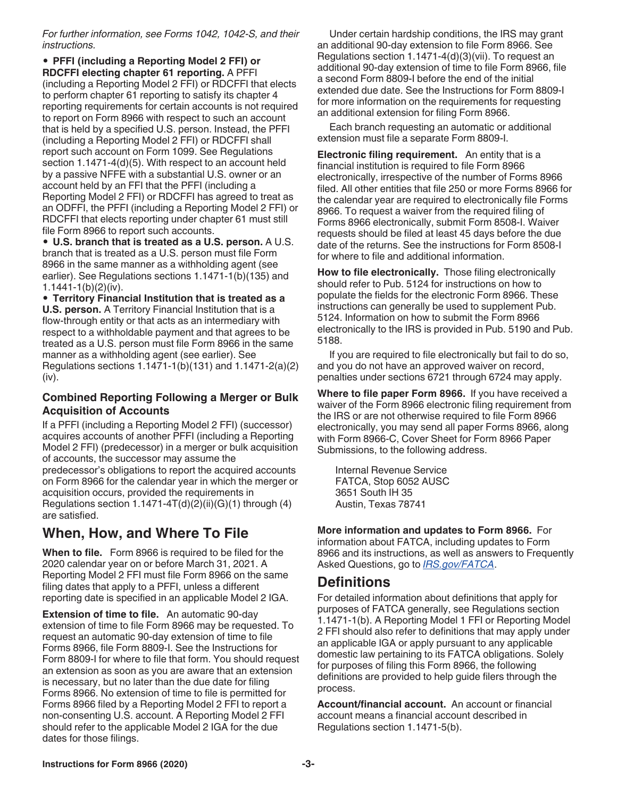*For further information, see Forms 1042, 1042-S, and their instructions.*

• **PFFI (including a Reporting Model 2 FFI) or RDCFFI electing chapter 61 reporting.** A PFFI (including a Reporting Model 2 FFI) or RDCFFI that elects to perform chapter 61 reporting to satisfy its chapter 4 reporting requirements for certain accounts is not required to report on Form 8966 with respect to such an account that is held by a specified U.S. person. Instead, the PFFI (including a Reporting Model 2 FFI) or RDCFFI shall report such account on Form 1099. See Regulations section 1.1471-4(d)(5). With respect to an account held by a passive NFFE with a substantial U.S. owner or an account held by an FFI that the PFFI (including a Reporting Model 2 FFI) or RDCFFI has agreed to treat as an ODFFI, the PFFI (including a Reporting Model 2 FFI) or RDCFFI that elects reporting under chapter 61 must still file Form 8966 to report such accounts.

• **U.S. branch that is treated as a U.S. person.** A U.S. branch that is treated as a U.S. person must file Form 8966 in the same manner as a withholding agent (see earlier). See Regulations sections 1.1471-1(b)(135) and 1.1441-1(b)(2)(iv).

• **Territory Financial Institution that is treated as a U.S. person.** A Territory Financial Institution that is a flow-through entity or that acts as an intermediary with respect to a withholdable payment and that agrees to be treated as a U.S. person must file Form 8966 in the same manner as a withholding agent (see earlier). See Regulations sections 1.1471-1(b)(131) and 1.1471-2(a)(2) (iv).

#### **Combined Reporting Following a Merger or Bulk Acquisition of Accounts**

If a PFFI (including a Reporting Model 2 FFI) (successor) acquires accounts of another PFFI (including a Reporting Model 2 FFI) (predecessor) in a merger or bulk acquisition of accounts, the successor may assume the predecessor's obligations to report the acquired accounts on Form 8966 for the calendar year in which the merger or acquisition occurs, provided the requirements in Regulations section  $1.1471 - 4T(d)(2)(ii)(G)(1)$  through  $(4)$ are satisfied.

## **When, How, and Where To File**

**When to file.** Form 8966 is required to be filed for the 2020 calendar year on or before March 31, 2021. A Reporting Model 2 FFI must file Form 8966 on the same filing dates that apply to a PFFI, unless a different reporting date is specified in an applicable Model 2 IGA.

**Extension of time to file.** An automatic 90-day extension of time to file Form 8966 may be requested. To request an automatic 90-day extension of time to file Forms 8966, file Form 8809-I. See the Instructions for Form 8809-I for where to file that form. You should request an extension as soon as you are aware that an extension is necessary, but no later than the due date for filing Forms 8966. No extension of time to file is permitted for Forms 8966 filed by a Reporting Model 2 FFI to report a non-consenting U.S. account. A Reporting Model 2 FFI should refer to the applicable Model 2 IGA for the due dates for those filings.

Under certain hardship conditions, the IRS may grant an additional 90-day extension to file Form 8966. See Regulations section 1.1471-4(d)(3)(vii). To request an additional 90-day extension of time to file Form 8966, file a second Form 8809-I before the end of the initial extended due date. See the Instructions for Form 8809-I for more information on the requirements for requesting an additional extension for filing Form 8966.

Each branch requesting an automatic or additional extension must file a separate Form 8809-I.

**Electronic filing requirement.** An entity that is a financial institution is required to file Form 8966 electronically, irrespective of the number of Forms 8966 filed. All other entities that file 250 or more Forms 8966 for the calendar year are required to electronically file Forms 8966. To request a waiver from the required filing of Forms 8966 electronically, submit Form 8508-I. Waiver requests should be filed at least 45 days before the due date of the returns. See the instructions for Form 8508-I for where to file and additional information.

**How to file electronically.** Those filing electronically should refer to Pub. 5124 for instructions on how to populate the fields for the electronic Form 8966. These instructions can generally be used to supplement Pub. 5124. Information on how to submit the Form 8966 electronically to the IRS is provided in Pub. 5190 and Pub. 5188.

If you are required to file electronically but fail to do so, and you do not have an approved waiver on record, penalties under sections 6721 through 6724 may apply.

**Where to file paper Form 8966.** If you have received a waiver of the Form 8966 electronic filing requirement from the IRS or are not otherwise required to file Form 8966 electronically, you may send all paper Forms 8966, along with Form 8966-C, Cover Sheet for Form 8966 Paper Submissions, to the following address.

Internal Revenue Service FATCA, Stop 6052 AUSC 3651 South IH 35 Austin, Texas 78741

**More information and updates to Form 8966.** For information about FATCA, including updates to Form 8966 and its instructions, as well as answers to Frequently Asked Questions, go to *[IRS.gov/FATCA](https://www.irs.gov/fatca)*.

## **Definitions**

For detailed information about definitions that apply for purposes of FATCA generally, see Regulations section 1.1471-1(b). A Reporting Model 1 FFI or Reporting Model 2 FFI should also refer to definitions that may apply under an applicable IGA or apply pursuant to any applicable domestic law pertaining to its FATCA obligations. Solely for purposes of filing this Form 8966, the following definitions are provided to help guide filers through the process.

**Account/financial account.** An account or financial account means a financial account described in Regulations section 1.1471-5(b).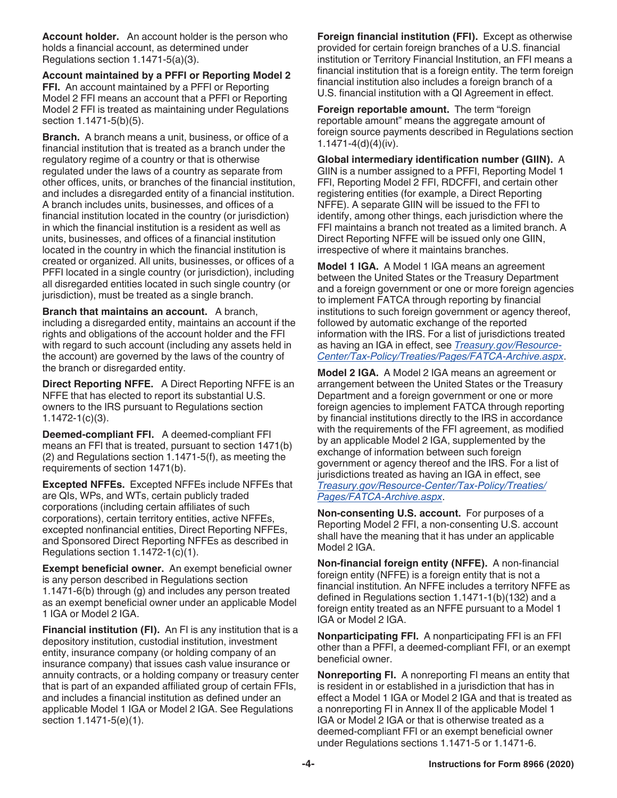**Account holder.** An account holder is the person who holds a financial account, as determined under Regulations section 1.1471-5(a)(3).

**Account maintained by a PFFI or Reporting Model 2 FFI.** An account maintained by a PFFI or Reporting Model 2 FFI means an account that a PFFI or Reporting Model 2 FFI is treated as maintaining under Regulations section 1.1471-5(b)(5).

**Branch.** A branch means a unit, business, or office of a financial institution that is treated as a branch under the regulatory regime of a country or that is otherwise regulated under the laws of a country as separate from other offices, units, or branches of the financial institution, and includes a disregarded entity of a financial institution. A branch includes units, businesses, and offices of a financial institution located in the country (or jurisdiction) in which the financial institution is a resident as well as units, businesses, and offices of a financial institution located in the country in which the financial institution is created or organized. All units, businesses, or offices of a PFFI located in a single country (or jurisdiction), including all disregarded entities located in such single country (or jurisdiction), must be treated as a single branch.

**Branch that maintains an account.** A branch, including a disregarded entity, maintains an account if the rights and obligations of the account holder and the FFI with regard to such account (including any assets held in the account) are governed by the laws of the country of the branch or disregarded entity.

**Direct Reporting NFFE.** A Direct Reporting NFFE is an NFFE that has elected to report its substantial U.S. owners to the IRS pursuant to Regulations section 1.1472-1(c)(3).

**Deemed-compliant FFI.** A deemed-compliant FFI means an FFI that is treated, pursuant to section 1471(b) (2) and Regulations section 1.1471-5(f), as meeting the requirements of section 1471(b).

**Excepted NFFEs.** Excepted NFFEs include NFFEs that are QIs, WPs, and WTs, certain publicly traded corporations (including certain affiliates of such corporations), certain territory entities, active NFFEs, excepted nonfinancial entities, Direct Reporting NFFEs, and Sponsored Direct Reporting NFFEs as described in Regulations section 1.1472-1(c)(1).

**Exempt beneficial owner.** An exempt beneficial owner is any person described in Regulations section 1.1471-6(b) through (g) and includes any person treated as an exempt beneficial owner under an applicable Model 1 IGA or Model 2 IGA.

**Financial institution (FI).** An FI is any institution that is a depository institution, custodial institution, investment entity, insurance company (or holding company of an insurance company) that issues cash value insurance or annuity contracts, or a holding company or treasury center that is part of an expanded affiliated group of certain FFIs, and includes a financial institution as defined under an applicable Model 1 IGA or Model 2 IGA. See Regulations section 1.1471-5(e)(1).

**Foreign financial institution (FFI).** Except as otherwise provided for certain foreign branches of a U.S. financial institution or Territory Financial Institution, an FFI means a financial institution that is a foreign entity. The term foreign financial institution also includes a foreign branch of a U.S. financial institution with a QI Agreement in effect.

**Foreign reportable amount.** The term "foreign reportable amount" means the aggregate amount of foreign source payments described in Regulations section 1.1471-4(d)(4)(iv).

**Global intermediary identification number (GIIN).** A GIIN is a number assigned to a PFFI, Reporting Model 1 FFI, Reporting Model 2 FFI, RDCFFI, and certain other registering entities (for example, a Direct Reporting NFFE). A separate GIIN will be issued to the FFI to identify, among other things, each jurisdiction where the FFI maintains a branch not treated as a limited branch. A Direct Reporting NFFE will be issued only one GIIN, irrespective of where it maintains branches.

**Model 1 IGA.** A Model 1 IGA means an agreement between the United States or the Treasury Department and a foreign government or one or more foreign agencies to implement FATCA through reporting by financial institutions to such foreign government or agency thereof, followed by automatic exchange of the reported information with the IRS. For a list of jurisdictions treated as having an IGA in effect, see *[Treasury.gov/Resource-](http://www.treasury.gov/resource-center/tax-policy/treaties/Pages/FATCA-Archive.aspx)[Center/Tax-Policy/Treaties/Pages/FATCA-Archive.aspx](http://www.treasury.gov/resource-center/tax-policy/treaties/Pages/FATCA-Archive.aspx)*.

**Model 2 IGA.** A Model 2 IGA means an agreement or arrangement between the United States or the Treasury Department and a foreign government or one or more foreign agencies to implement FATCA through reporting by financial institutions directly to the IRS in accordance with the requirements of the FFI agreement, as modified by an applicable Model 2 IGA, supplemented by the exchange of information between such foreign government or agency thereof and the IRS. For a list of jurisdictions treated as having an IGA in effect, see *[Treasury.gov/Resource-Center/Tax-Policy/Treaties/](http://www.treasury.gov/resource-center/tax-policy/treaties/Pages/FATCA-Archive.aspx) [Pages/FATCA-Archive.aspx](http://www.treasury.gov/resource-center/tax-policy/treaties/Pages/FATCA-Archive.aspx)*.

**Non-consenting U.S. account.** For purposes of a Reporting Model 2 FFI, a non-consenting U.S. account shall have the meaning that it has under an applicable Model 2 IGA.

**Non-financial foreign entity (NFFE).** A non-financial foreign entity (NFFE) is a foreign entity that is not a financial institution. An NFFE includes a territory NFFE as defined in Regulations section 1.1471-1(b)(132) and a foreign entity treated as an NFFE pursuant to a Model 1 IGA or Model 2 IGA.

**Nonparticipating FFI.** A nonparticipating FFI is an FFI other than a PFFI, a deemed-compliant FFI, or an exempt beneficial owner.

**Nonreporting FI.** A nonreporting FI means an entity that is resident in or established in a jurisdiction that has in effect a Model 1 IGA or Model 2 IGA and that is treated as a nonreporting FI in Annex II of the applicable Model 1 IGA or Model 2 IGA or that is otherwise treated as a deemed-compliant FFI or an exempt beneficial owner under Regulations sections 1.1471-5 or 1.1471-6.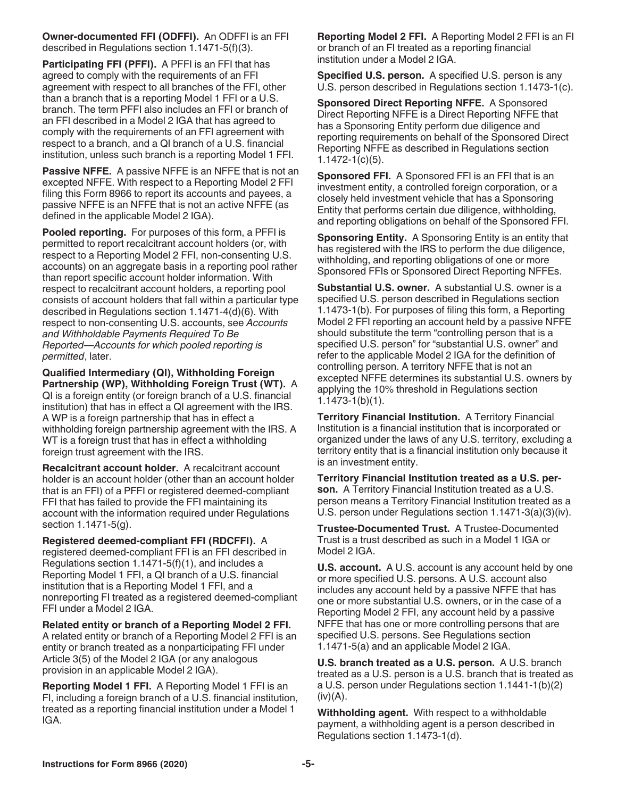**Owner-documented FFI (ODFFI).** An ODFFI is an FFI described in Regulations section 1.1471-5(f)(3).

**Participating FFI (PFFI).** A PFFI is an FFI that has agreed to comply with the requirements of an FFI agreement with respect to all branches of the FFI, other than a branch that is a reporting Model 1 FFI or a U.S. branch. The term PFFI also includes an FFI or branch of an FFI described in a Model 2 IGA that has agreed to comply with the requirements of an FFI agreement with respect to a branch, and a QI branch of a U.S. financial institution, unless such branch is a reporting Model 1 FFI.

**Passive NFFE.** A passive NFFE is an NFFE that is not an excepted NFFE. With respect to a Reporting Model 2 FFI filing this Form 8966 to report its accounts and payees, a passive NFFE is an NFFE that is not an active NFFE (as defined in the applicable Model 2 IGA).

**Pooled reporting.** For purposes of this form, a PFFI is permitted to report recalcitrant account holders (or, with respect to a Reporting Model 2 FFI, non-consenting U.S. accounts) on an aggregate basis in a reporting pool rather than report specific account holder information. With respect to recalcitrant account holders, a reporting pool consists of account holders that fall within a particular type described in Regulations section 1.1471-4(d)(6). With respect to non-consenting U.S. accounts, see *Accounts and Withholdable Payments Required To Be Reported—Accounts for which pooled reporting is permitted*, later.

**Qualified Intermediary (QI), Withholding Foreign Partnership (WP), Withholding Foreign Trust (WT).** A QI is a foreign entity (or foreign branch of a U.S. financial institution) that has in effect a QI agreement with the IRS. A WP is a foreign partnership that has in effect a withholding foreign partnership agreement with the IRS. A WT is a foreign trust that has in effect a withholding foreign trust agreement with the IRS.

**Recalcitrant account holder.** A recalcitrant account holder is an account holder (other than an account holder that is an FFI) of a PFFI or registered deemed-compliant FFI that has failed to provide the FFI maintaining its account with the information required under Regulations section 1.1471-5(g).

**Registered deemed-compliant FFI (RDCFFI).** A registered deemed-compliant FFI is an FFI described in Regulations section 1.1471-5(f)(1), and includes a Reporting Model 1 FFI, a QI branch of a U.S. financial institution that is a Reporting Model 1 FFI, and a nonreporting FI treated as a registered deemed-compliant FFI under a Model 2 IGA.

**Related entity or branch of a Reporting Model 2 FFI.**  A related entity or branch of a Reporting Model 2 FFI is an entity or branch treated as a nonparticipating FFI under Article 3(5) of the Model 2 IGA (or any analogous provision in an applicable Model 2 IGA).

**Reporting Model 1 FFI.** A Reporting Model 1 FFI is an FI, including a foreign branch of a U.S. financial institution, treated as a reporting financial institution under a Model 1 IGA.

**Reporting Model 2 FFI.** A Reporting Model 2 FFI is an FI or branch of an FI treated as a reporting financial institution under a Model 2 IGA.

**Specified U.S. person.** A specified U.S. person is any U.S. person described in Regulations section 1.1473-1(c).

**Sponsored Direct Reporting NFFE.** A Sponsored Direct Reporting NFFE is a Direct Reporting NFFE that has a Sponsoring Entity perform due diligence and reporting requirements on behalf of the Sponsored Direct Reporting NFFE as described in Regulations section 1.1472-1(c)(5).

**Sponsored FFI.** A Sponsored FFI is an FFI that is an investment entity, a controlled foreign corporation, or a closely held investment vehicle that has a Sponsoring Entity that performs certain due diligence, withholding, and reporting obligations on behalf of the Sponsored FFI.

**Sponsoring Entity.** A Sponsoring Entity is an entity that has registered with the IRS to perform the due diligence, withholding, and reporting obligations of one or more Sponsored FFIs or Sponsored Direct Reporting NFFEs.

**Substantial U.S. owner.** A substantial U.S. owner is a specified U.S. person described in Regulations section 1.1473-1(b). For purposes of filing this form, a Reporting Model 2 FFI reporting an account held by a passive NFFE should substitute the term "controlling person that is a specified U.S. person" for "substantial U.S. owner" and refer to the applicable Model 2 IGA for the definition of controlling person. A territory NFFE that is not an excepted NFFE determines its substantial U.S. owners by applying the 10% threshold in Regulations section 1.1473-1(b)(1).

**Territory Financial Institution.** A Territory Financial Institution is a financial institution that is incorporated or organized under the laws of any U.S. territory, excluding a territory entity that is a financial institution only because it is an investment entity.

**Territory Financial Institution treated as a U.S. person.** A Territory Financial Institution treated as a U.S. person means a Territory Financial Institution treated as a U.S. person under Regulations section 1.1471-3(a)(3)(iv).

**Trustee-Documented Trust.** A Trustee-Documented Trust is a trust described as such in a Model 1 IGA or Model 2 IGA.

**U.S. account.** A U.S. account is any account held by one or more specified U.S. persons. A U.S. account also includes any account held by a passive NFFE that has one or more substantial U.S. owners, or in the case of a Reporting Model 2 FFI, any account held by a passive NFFE that has one or more controlling persons that are specified U.S. persons. See Regulations section 1.1471-5(a) and an applicable Model 2 IGA.

**U.S. branch treated as a U.S. person.** A U.S. branch treated as a U.S. person is a U.S. branch that is treated as a U.S. person under Regulations section 1.1441-1(b)(2)  $(iv)(A)$ .

**Withholding agent.** With respect to a withholdable payment, a withholding agent is a person described in Regulations section 1.1473-1(d).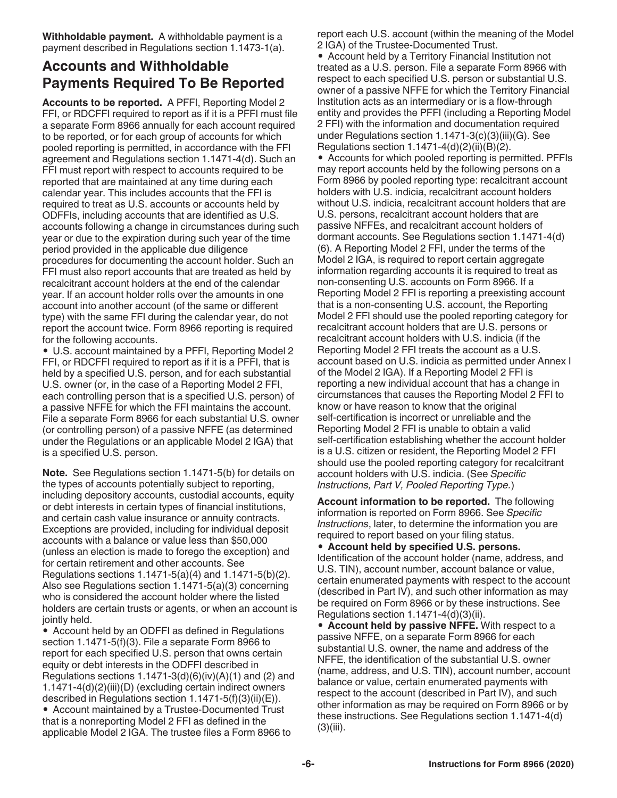**Withholdable payment.** A withholdable payment is a payment described in Regulations section 1.1473-1(a).

## **Accounts and Withholdable Payments Required To Be Reported**

**Accounts to be reported.** A PFFI, Reporting Model 2 FFI, or RDCFFI required to report as if it is a PFFI must file a separate Form 8966 annually for each account required to be reported, or for each group of accounts for which pooled reporting is permitted, in accordance with the FFI agreement and Regulations section 1.1471-4(d). Such an FFI must report with respect to accounts required to be reported that are maintained at any time during each calendar year. This includes accounts that the FFI is required to treat as U.S. accounts or accounts held by ODFFIs, including accounts that are identified as U.S. accounts following a change in circumstances during such year or due to the expiration during such year of the time period provided in the applicable due diligence procedures for documenting the account holder. Such an FFI must also report accounts that are treated as held by recalcitrant account holders at the end of the calendar year. If an account holder rolls over the amounts in one account into another account (of the same or different type) with the same FFI during the calendar year, do not report the account twice. Form 8966 reporting is required for the following accounts.

• U.S. account maintained by a PFFI, Reporting Model 2 FFI, or RDCFFI required to report as if it is a PFFI, that is held by a specified U.S. person, and for each substantial U.S. owner (or, in the case of a Reporting Model 2 FFI, each controlling person that is a specified U.S. person) of a passive NFFE for which the FFI maintains the account. File a separate Form 8966 for each substantial U.S. owner (or controlling person) of a passive NFFE (as determined under the Regulations or an applicable Model 2 IGA) that is a specified U.S. person.

**Note.** See Regulations section 1.1471-5(b) for details on the types of accounts potentially subject to reporting, including depository accounts, custodial accounts, equity or debt interests in certain types of financial institutions, and certain cash value insurance or annuity contracts. Exceptions are provided, including for individual deposit accounts with a balance or value less than \$50,000 (unless an election is made to forego the exception) and for certain retirement and other accounts. See Regulations sections 1.1471-5(a)(4) and 1.1471-5(b)(2). Also see Regulations section 1.1471-5(a)(3) concerning who is considered the account holder where the listed holders are certain trusts or agents, or when an account is jointly held.

• Account held by an ODFFI as defined in Regulations section 1.1471-5(f)(3). File a separate Form 8966 to report for each specified U.S. person that owns certain equity or debt interests in the ODFFI described in Regulations sections  $1.1471-3(d)(6)(iv)(A)(1)$  and (2) and 1.1471-4(d)(2)(iii)(D) (excluding certain indirect owners described in Regulations section 1.1471-5(f)(3)(ii)(E)). • Account maintained by a Trustee-Documented Trust

that is a nonreporting Model 2 FFI as defined in the applicable Model 2 IGA. The trustee files a Form 8966 to report each U.S. account (within the meaning of the Model 2 IGA) of the Trustee-Documented Trust.

• Account held by a Territory Financial Institution not treated as a U.S. person. File a separate Form 8966 with respect to each specified U.S. person or substantial U.S. owner of a passive NFFE for which the Territory Financial Institution acts as an intermediary or is a flow-through entity and provides the PFFI (including a Reporting Model 2 FFI) with the information and documentation required under Regulations section 1.1471-3(c)(3)(iii)(G). See Regulations section  $1.1471-4(d)(2)(ii)(B)(2)$ .

• Accounts for which pooled reporting is permitted. PFFIs may report accounts held by the following persons on a Form 8966 by pooled reporting type: recalcitrant account holders with U.S. indicia, recalcitrant account holders without U.S. indicia, recalcitrant account holders that are U.S. persons, recalcitrant account holders that are passive NFFEs, and recalcitrant account holders of dormant accounts. See Regulations section 1.1471-4(d) (6). A Reporting Model 2 FFI, under the terms of the Model 2 IGA, is required to report certain aggregate information regarding accounts it is required to treat as non-consenting U.S. accounts on Form 8966. If a Reporting Model 2 FFI is reporting a preexisting account that is a non-consenting U.S. account, the Reporting Model 2 FFI should use the pooled reporting category for recalcitrant account holders that are U.S. persons or recalcitrant account holders with U.S. indicia (if the Reporting Model 2 FFI treats the account as a U.S. account based on U.S. indicia as permitted under Annex I of the Model 2 IGA). If a Reporting Model 2 FFI is reporting a new individual account that has a change in circumstances that causes the Reporting Model 2 FFI to know or have reason to know that the original self-certification is incorrect or unreliable and the Reporting Model 2 FFI is unable to obtain a valid self-certification establishing whether the account holder is a U.S. citizen or resident, the Reporting Model 2 FFI should use the pooled reporting category for recalcitrant account holders with U.S. indicia. (See *Specific Instructions, Part V, Pooled Reporting Type.*)

**Account information to be reported.** The following information is reported on Form 8966. See *Specific Instructions*, later, to determine the information you are required to report based on your filing status.

• **Account held by specified U.S. persons.**  Identification of the account holder (name, address, and U.S. TIN), account number, account balance or value, certain enumerated payments with respect to the account (described in Part IV), and such other information as may be required on Form 8966 or by these instructions. See Regulations section 1.1471-4(d)(3)(ii).

• **Account held by passive NFFE.** With respect to a passive NFFE, on a separate Form 8966 for each substantial U.S. owner, the name and address of the NFFE, the identification of the substantial U.S. owner (name, address, and U.S. TIN), account number, account balance or value, certain enumerated payments with respect to the account (described in Part IV), and such other information as may be required on Form 8966 or by these instructions. See Regulations section 1.1471-4(d) (3)(iii).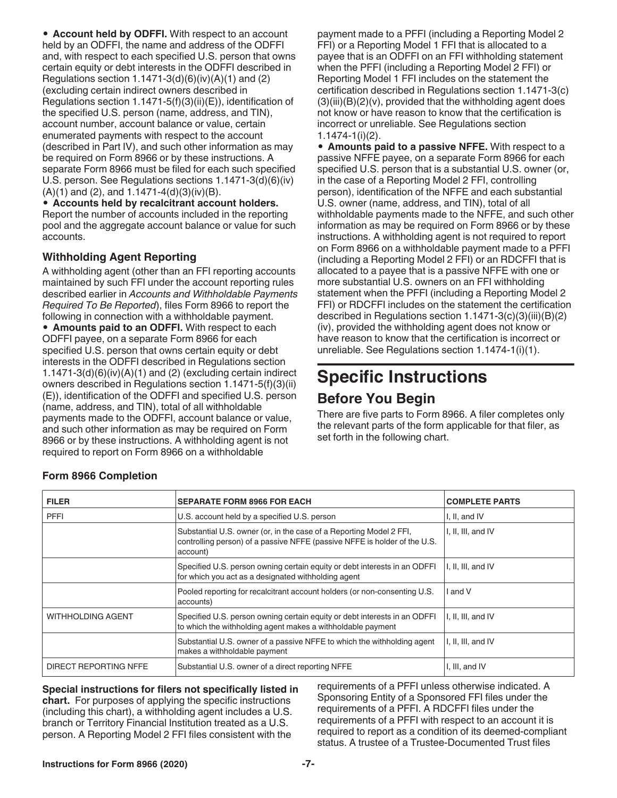• **Account held by ODFFI.** With respect to an account held by an ODFFI, the name and address of the ODFFI and, with respect to each specified U.S. person that owns certain equity or debt interests in the ODFFI described in Regulations section  $1.1471-3(d)(6)(iv)(A)(1)$  and  $(2)$ (excluding certain indirect owners described in Regulations section 1.1471-5(f)(3)(ii)(E)), identification of the specified U.S. person (name, address, and TIN), account number, account balance or value, certain enumerated payments with respect to the account (described in Part IV), and such other information as may be required on Form 8966 or by these instructions. A separate Form 8966 must be filed for each such specified U.S. person. See Regulations sections 1.1471-3(d)(6)(iv)  $(A)(1)$  and  $(2)$ , and  $1.1471-4(d)(3)(iv)(B)$ .

• **Accounts held by recalcitrant account holders.**  Report the number of accounts included in the reporting pool and the aggregate account balance or value for such accounts.

#### **Withholding Agent Reporting**

A withholding agent (other than an FFI reporting accounts maintained by such FFI under the account reporting rules described earlier in *Accounts and Withholdable Payments Required To Be Reported*), files Form 8966 to report the following in connection with a withholdable payment. • **Amounts paid to an ODFFI.** With respect to each ODFFI payee, on a separate Form 8966 for each specified U.S. person that owns certain equity or debt interests in the ODFFI described in Regulations section  $1.1471-3(d)(6)(iv)(A)(1)$  and (2) (excluding certain indirect owners described in Regulations section 1.1471-5(f)(3)(ii) (E)), identification of the ODFFI and specified U.S. person (name, address, and TIN), total of all withholdable payments made to the ODFFI, account balance or value, and such other information as may be required on Form 8966 or by these instructions. A withholding agent is not required to report on Form 8966 on a withholdable

payment made to a PFFI (including a Reporting Model 2 FFI) or a Reporting Model 1 FFI that is allocated to a payee that is an ODFFI on an FFI withholding statement when the PFFI (including a Reporting Model 2 FFI) or Reporting Model 1 FFI includes on the statement the certification described in Regulations section 1.1471-3(c)  $(3)(iii)(B)(2)(v)$ , provided that the withholding agent does not know or have reason to know that the certification is incorrect or unreliable. See Regulations section 1.1474-1(i)(2).

• **Amounts paid to a passive NFFE.** With respect to a passive NFFE payee, on a separate Form 8966 for each specified U.S. person that is a substantial U.S. owner (or, in the case of a Reporting Model 2 FFI, controlling person), identification of the NFFE and each substantial U.S. owner (name, address, and TIN), total of all withholdable payments made to the NFFE, and such other information as may be required on Form 8966 or by these instructions. A withholding agent is not required to report on Form 8966 on a withholdable payment made to a PFFI (including a Reporting Model 2 FFI) or an RDCFFI that is allocated to a payee that is a passive NFFE with one or more substantial U.S. owners on an FFI withholding statement when the PFFI (including a Reporting Model 2 FFI) or RDCFFI includes on the statement the certification described in Regulations section 1.1471-3(c)(3)(iii)(B)(2) (iv), provided the withholding agent does not know or have reason to know that the certification is incorrect or unreliable. See Regulations section 1.1474-1(i)(1).

## **Specific Instructions**

## **Before You Begin**

There are five parts to Form 8966. A filer completes only the relevant parts of the form applicable for that filer, as set forth in the following chart.

| <b>FILER</b>             | <b>SEPARATE FORM 8966 FOR EACH</b>                                                                                                                           | <b>COMPLETE PARTS</b> |
|--------------------------|--------------------------------------------------------------------------------------------------------------------------------------------------------------|-----------------------|
| <b>PFFI</b>              | U.S. account held by a specified U.S. person                                                                                                                 | I, II, and IV         |
|                          | Substantial U.S. owner (or, in the case of a Reporting Model 2 FFI,<br>controlling person) of a passive NFFE (passive NFFE is holder of the U.S.<br>account) | I, II, III, and IV    |
|                          | Specified U.S. person owning certain equity or debt interests in an ODFFI<br>for which you act as a designated withholding agent                             | I, II, III, and IV    |
|                          | Pooled reporting for recalcitrant account holders (or non-consenting U.S.<br>accounts)                                                                       | I and V               |
| <b>WITHHOLDING AGENT</b> | Specified U.S. person owning certain equity or debt interests in an ODFFI<br>to which the withholding agent makes a withholdable payment                     | I, II, III, and IV    |
|                          | Substantial U.S. owner of a passive NFFE to which the withholding agent<br>makes a withholdable payment                                                      | I, II, III, and IV    |
| DIRECT REPORTING NFFE    | Substantial U.S. owner of a direct reporting NFFE                                                                                                            | I, III, and IV        |

## **Form 8966 Completion**

**Special instructions for filers not specifically listed in chart.** For purposes of applying the specific instructions (including this chart), a withholding agent includes a U.S. branch or Territory Financial Institution treated as a U.S. person. A Reporting Model 2 FFI files consistent with the

requirements of a PFFI unless otherwise indicated. A Sponsoring Entity of a Sponsored FFI files under the requirements of a PFFI. A RDCFFI files under the requirements of a PFFI with respect to an account it is required to report as a condition of its deemed-compliant status. A trustee of a Trustee-Documented Trust files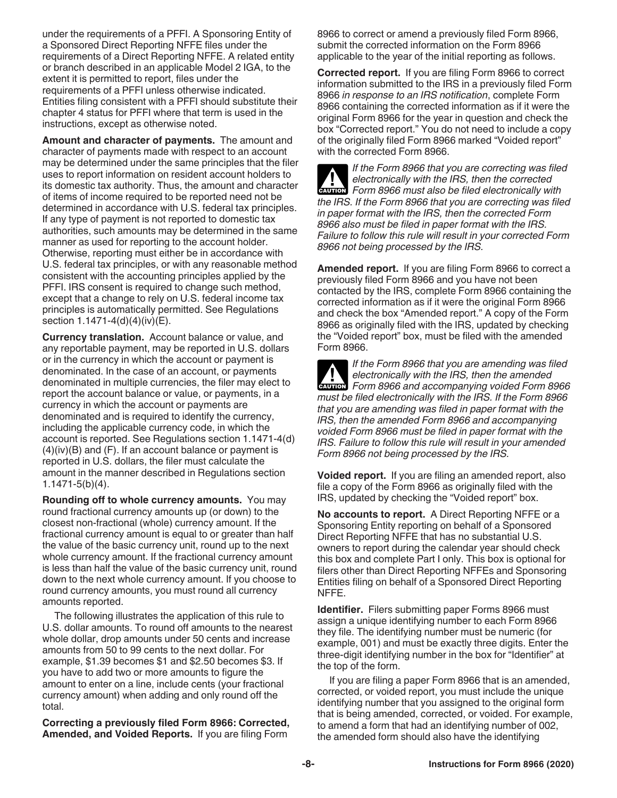under the requirements of a PFFI. A Sponsoring Entity of a Sponsored Direct Reporting NFFE files under the requirements of a Direct Reporting NFFE. A related entity or branch described in an applicable Model 2 IGA, to the extent it is permitted to report, files under the requirements of a PFFI unless otherwise indicated. Entities filing consistent with a PFFI should substitute their chapter 4 status for PFFI where that term is used in the instructions, except as otherwise noted.

**Amount and character of payments.** The amount and character of payments made with respect to an account may be determined under the same principles that the filer uses to report information on resident account holders to its domestic tax authority. Thus, the amount and character of items of income required to be reported need not be determined in accordance with U.S. federal tax principles. If any type of payment is not reported to domestic tax authorities, such amounts may be determined in the same manner as used for reporting to the account holder. Otherwise, reporting must either be in accordance with U.S. federal tax principles, or with any reasonable method consistent with the accounting principles applied by the PFFI. IRS consent is required to change such method, except that a change to rely on U.S. federal income tax principles is automatically permitted. See Regulations section 1.1471-4(d)(4)(iv)(E).

**Currency translation.** Account balance or value, and any reportable payment, may be reported in U.S. dollars or in the currency in which the account or payment is denominated. In the case of an account, or payments denominated in multiple currencies, the filer may elect to report the account balance or value, or payments, in a currency in which the account or payments are denominated and is required to identify the currency, including the applicable currency code, in which the account is reported. See Regulations section 1.1471-4(d) (4)(iv)(B) and (F). If an account balance or payment is reported in U.S. dollars, the filer must calculate the amount in the manner described in Regulations section 1.1471-5(b)(4).

**Rounding off to whole currency amounts.** You may round fractional currency amounts up (or down) to the closest non-fractional (whole) currency amount. If the fractional currency amount is equal to or greater than half the value of the basic currency unit, round up to the next whole currency amount. If the fractional currency amount is less than half the value of the basic currency unit, round down to the next whole currency amount. If you choose to round currency amounts, you must round all currency amounts reported.

The following illustrates the application of this rule to U.S. dollar amounts. To round off amounts to the nearest whole dollar, drop amounts under 50 cents and increase amounts from 50 to 99 cents to the next dollar. For example, \$1.39 becomes \$1 and \$2.50 becomes \$3. If you have to add two or more amounts to figure the amount to enter on a line, include cents (your fractional currency amount) when adding and only round off the total.

**Correcting a previously filed Form 8966: Corrected, Amended, and Voided Reports.** If you are filing Form

8966 to correct or amend a previously filed Form 8966, submit the corrected information on the Form 8966 applicable to the year of the initial reporting as follows.

**Corrected report.** If you are filing Form 8966 to correct information submitted to the IRS in a previously filed Form 8966 *in response to an IRS notification*, complete Form 8966 containing the corrected information as if it were the original Form 8966 for the year in question and check the box "Corrected report." You do not need to include a copy of the originally filed Form 8966 marked "Voided report" with the corrected Form 8966.

*If the Form 8966 that you are correcting was filed electronically with the IRS, then the corrected*  **Properties also be filed electronically with the IRS, then the corrected<br>
<b>EXUTION** Form 8966 must also be filed electronically with *the IRS. If the Form 8966 that you are correcting was filed in paper format with the IRS, then the corrected Form 8966 also must be filed in paper format with the IRS. Failure to follow this rule will result in your corrected Form 8966 not being processed by the IRS.*

**Amended report.** If you are filing Form 8966 to correct a previously filed Form 8966 and you have not been contacted by the IRS, complete Form 8966 containing the corrected information as if it were the original Form 8966 and check the box "Amended report." A copy of the Form 8966 as originally filed with the IRS, updated by checking the "Voided report" box, must be filed with the amended Form 8966.

*If the Form 8966 that you are amending was filed electronically with the IRS, then the amended*  **Properties And accompanying voided Form 8966**<br> **EXECUTION** Form 8966 and accompanying voided Form 8966 *must be filed electronically with the IRS. If the Form 8966 that you are amending was filed in paper format with the IRS, then the amended Form 8966 and accompanying voided Form 8966 must be filed in paper format with the IRS. Failure to follow this rule will result in your amended Form 8966 not being processed by the IRS.*

**Voided report.** If you are filing an amended report, also file a copy of the Form 8966 as originally filed with the IRS, updated by checking the "Voided report" box.

**No accounts to report.** A Direct Reporting NFFE or a Sponsoring Entity reporting on behalf of a Sponsored Direct Reporting NFFE that has no substantial U.S. owners to report during the calendar year should check this box and complete Part I only. This box is optional for filers other than Direct Reporting NFFEs and Sponsoring Entities filing on behalf of a Sponsored Direct Reporting NFFE.

**Identifier.** Filers submitting paper Forms 8966 must assign a unique identifying number to each Form 8966 they file. The identifying number must be numeric (for example, 001) and must be exactly three digits. Enter the three-digit identifying number in the box for "Identifier" at the top of the form.

If you are filing a paper Form 8966 that is an amended, corrected, or voided report, you must include the unique identifying number that you assigned to the original form that is being amended, corrected, or voided. For example, to amend a form that had an identifying number of 002, the amended form should also have the identifying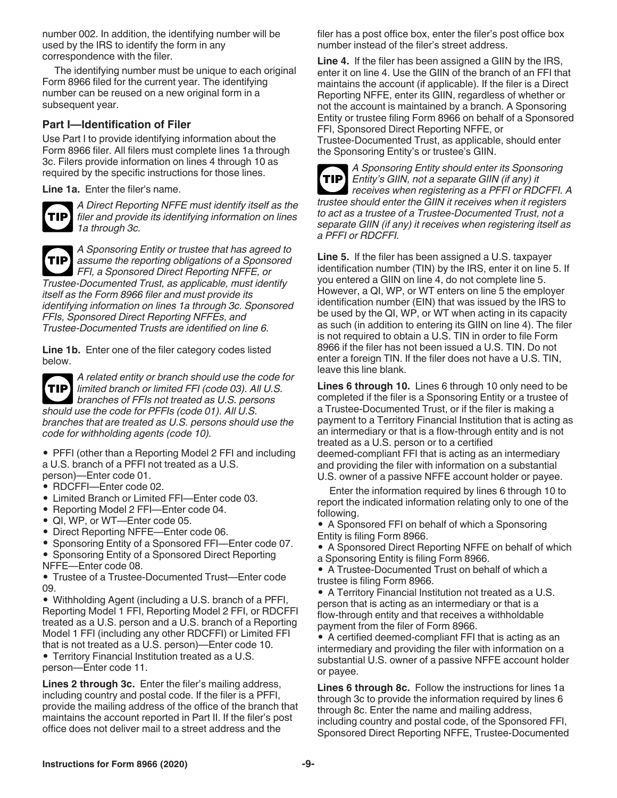number 002. In addition, the identifying number will be used by the IRS to identify the form in any correspondence with the filer.

The identifying number must be unique to each original Form 8966 filed for the current year. The identifying number can be reused on a new original form in a subsequent year.

#### **Part I—Identification of Filer**

Use Part I to provide identifying information about the Form 8966 filer. All filers must complete lines 1a through 3c. Filers provide information on lines 4 through 10 as required by the specific instructions for those lines.

**Line 1a.** Enter the filer's name.



*A Direct Reporting NFFE must identify itself as the filer and provide its identifying information on lines 1a through 3c.*



*A Sponsoring Entity or trustee that has agreed to assume the reporting obligations of a Sponsored FFI, a Sponsored Direct Reporting NFFE, or Trustee-Documented Trust, as applicable, must identify* 

*itself as the Form 8966 filer and must provide its identifying information on lines 1a through 3c. Sponsored FFIs, Sponsored Direct Reporting NFFEs, and Trustee-Documented Trusts are identified on line 6.*

**Line 1b.** Enter one of the filer category codes listed below.



*A related entity or branch should use the code for limited branch or limited FFI (code 03). All U.S. branches of FFIs not treated as U.S. persons should use the code for PFFIs (code 01). All U.S. branches that are treated as U.S. persons should use the code for withholding agents (code 10).*

• PFFI (other than a Reporting Model 2 FFI and including a U.S. branch of a PFFI not treated as a U.S. person)—Enter code 01.

- RDCFFI—Enter code 02.
- Limited Branch or Limited FFI—Enter code 03.
- Reporting Model 2 FFI—Enter code 04.
- QI, WP, or WT—Enter code 05.
- Direct Reporting NFFE—Enter code 06.

• Sponsoring Entity of a Sponsored FFI—Enter code 07.

• Sponsoring Entity of a Sponsored Direct Reporting NFFE—Enter code 08.

• Trustee of a Trustee-Documented Trust—Enter code 09.

• Withholding Agent (including a U.S. branch of a PFFI, Reporting Model 1 FFI, Reporting Model 2 FFI, or RDCFFI treated as a U.S. person and a U.S. branch of a Reporting Model 1 FFI (including any other RDCFFI) or Limited FFI that is not treated as a U.S. person)—Enter code 10.

• Territory Financial Institution treated as a U.S. person—Enter code 11.

**Lines 2 through 3c.** Enter the filer's mailing address, including country and postal code. If the filer is a PFFI, provide the mailing address of the office of the branch that maintains the account reported in Part II. If the filer's post office does not deliver mail to a street address and the

filer has a post office box, enter the filer's post office box number instead of the filer's street address.

**Line 4.** If the filer has been assigned a GIIN by the IRS, enter it on line 4. Use the GIIN of the branch of an FFI that maintains the account (if applicable). If the filer is a Direct Reporting NFFE, enter its GIIN, regardless of whether or not the account is maintained by a branch. A Sponsoring Entity or trustee filing Form 8966 on behalf of a Sponsored FFI, Sponsored Direct Reporting NFFE, or Trustee-Documented Trust, as applicable, should enter the Sponsoring Entity's or trustee's GIIN.



*A Sponsoring Entity should enter its Sponsoring Entity's GIIN, not a separate GIIN (if any) it receives when registering as a PFFI or RDCFFI. A trustee should enter the GIIN it receives when it registers to act as a trustee of a Trustee-Documented Trust, not a separate GIIN (if any) it receives when registering itself as a PFFI or RDCFFI.*

**Line 5.** If the filer has been assigned a U.S. taxpayer identification number (TIN) by the IRS, enter it on line 5. If you entered a GIIN on line 4, do not complete line 5. However, a QI, WP, or WT enters on line 5 the employer identification number (EIN) that was issued by the IRS to be used by the QI, WP, or WT when acting in its capacity as such (in addition to entering its GIIN on line 4). The filer is not required to obtain a U.S. TIN in order to file Form 8966 if the filer has not been issued a U.S. TIN. Do not enter a foreign TIN. If the filer does not have a U.S. TIN, leave this line blank.

**Lines 6 through 10.** Lines 6 through 10 only need to be completed if the filer is a Sponsoring Entity or a trustee of a Trustee-Documented Trust, or if the filer is making a payment to a Territory Financial Institution that is acting as an intermediary or that is a flow-through entity and is not treated as a U.S. person or to a certified deemed-compliant FFI that is acting as an intermediary and providing the filer with information on a substantial U.S. owner of a passive NFFE account holder or payee.

Enter the information required by lines 6 through 10 to report the indicated information relating only to one of the following.

• A Sponsored FFI on behalf of which a Sponsoring Entity is filing Form 8966.

• A Sponsored Direct Reporting NFFE on behalf of which a Sponsoring Entity is filing Form 8966.

• A Trustee-Documented Trust on behalf of which a trustee is filing Form 8966.

• A Territory Financial Institution not treated as a U.S. person that is acting as an intermediary or that is a flow-through entity and that receives a withholdable payment from the filer of Form 8966.

• A certified deemed-compliant FFI that is acting as an intermediary and providing the filer with information on a substantial U.S. owner of a passive NFFE account holder or payee.

**Lines 6 through 8c.** Follow the instructions for lines 1a through 3c to provide the information required by lines 6 through 8c. Enter the name and mailing address, including country and postal code, of the Sponsored FFI, Sponsored Direct Reporting NFFE, Trustee-Documented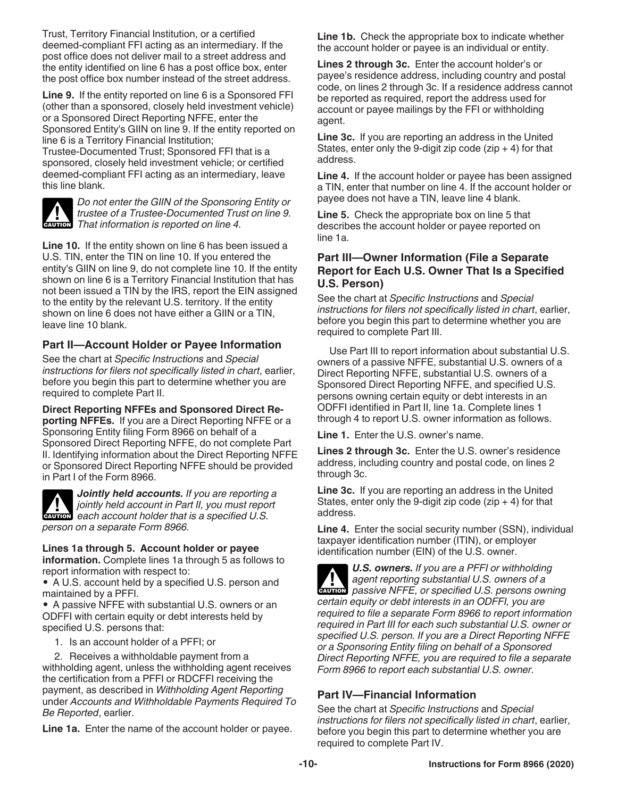Trust, Territory Financial Institution, or a certified deemed-compliant FFI acting as an intermediary. If the post office does not deliver mail to a street address and the entity identified on line 6 has a post office box, enter the post office box number instead of the street address.

**Line 9.** If the entity reported on line 6 is a Sponsored FFI (other than a sponsored, closely held investment vehicle) or a Sponsored Direct Reporting NFFE, enter the Sponsored Entity's GIIN on line 9. If the entity reported on line 6 is a Territory Financial Institution;

Trustee-Documented Trust; Sponsored FFI that is a sponsored, closely held investment vehicle; or certified deemed-compliant FFI acting as an intermediary, leave this line blank.



*Do not enter the GIIN of the Sponsoring Entity or trustee of a Trustee-Documented Trust on line 9.*  **I** *That information is reported on line 4.*<br> **CAUTION** *That information is reported on line 4.* 

**Line 10.** If the entity shown on line 6 has been issued a U.S. TIN, enter the TIN on line 10. If you entered the entity's GIIN on line 9, do not complete line 10. If the entity shown on line 6 is a Territory Financial Institution that has not been issued a TIN by the IRS, report the EIN assigned to the entity by the relevant U.S. territory. If the entity shown on line 6 does not have either a GIIN or a TIN, leave line 10 blank.

#### **Part II—Account Holder or Payee Information**

See the chart at *Specific Instructions* and *Special instructions for filers not specifically listed in chart*, earlier, before you begin this part to determine whether you are required to complete Part II.

#### **Direct Reporting NFFEs and Sponsored Direct Re-**

**porting NFFEs.** If you are a Direct Reporting NFFE or a Sponsoring Entity filing Form 8966 on behalf of a Sponsored Direct Reporting NFFE, do not complete Part II. Identifying information about the Direct Reporting NFFE or Sponsored Direct Reporting NFFE should be provided in Part I of the Form 8966.



*Jointly held accounts. If you are reporting a jointly held account in Part II, you must report*  **Property in the account in Part II, you must report each account holder that is a specified U.S.** *person on a separate Form 8966.*

#### **Lines 1a through 5. Account holder or payee**

**information.** Complete lines 1a through 5 as follows to report information with respect to:

• A U.S. account held by a specified U.S. person and maintained by a PFFI.

• A passive NFFE with substantial U.S. owners or an ODFFI with certain equity or debt interests held by specified U.S. persons that:

1. Is an account holder of a PFFI; or

2. Receives a withholdable payment from a withholding agent, unless the withholding agent receives the certification from a PFFI or RDCFFI receiving the payment, as described in *Withholding Agent Reporting*  under *Accounts and Withholdable Payments Required To Be Reported*, earlier.

**Line 1a.** Enter the name of the account holder or payee.

**Line 1b.** Check the appropriate box to indicate whether the account holder or payee is an individual or entity.

**Lines 2 through 3c.** Enter the account holder's or payee's residence address, including country and postal code, on lines 2 through 3c. If a residence address cannot be reported as required, report the address used for account or payee mailings by the FFI or withholding agent.

**Line 3c.** If you are reporting an address in the United States, enter only the 9-digit zip code ( $zip + 4$ ) for that address.

**Line 4.** If the account holder or payee has been assigned a TIN, enter that number on line 4. If the account holder or payee does not have a TIN, leave line 4 blank.

**Line 5.** Check the appropriate box on line 5 that describes the account holder or payee reported on line 1a.

#### **Part III—Owner Information (File a Separate Report for Each U.S. Owner That Is a Specified U.S. Person)**

See the chart at *Specific Instructions* and *Special instructions for filers not specifically listed in chart*, earlier, before you begin this part to determine whether you are required to complete Part III.

Use Part III to report information about substantial U.S. owners of a passive NFFE, substantial U.S. owners of a Direct Reporting NFFE, substantial U.S. owners of a Sponsored Direct Reporting NFFE, and specified U.S. persons owning certain equity or debt interests in an ODFFI identified in Part II, line 1a. Complete lines 1 through 4 to report U.S. owner information as follows.

**Line 1.** Enter the U.S. owner's name.

**Lines 2 through 3c.** Enter the U.S. owner's residence address, including country and postal code, on lines 2 through 3c.

**Line 3c.** If you are reporting an address in the United States, enter only the 9-digit zip code ( $zip + 4$ ) for that address.

**Line 4.** Enter the social security number (SSN), individual taxpayer identification number (ITIN), or employer identification number (EIN) of the U.S. owner.

*U.S. owners. If you are a PFFI or withholding agent reporting substantial U.S. owners of a*  **Passive NFFE, or specified U.S. owners of a**<br> **CAUTION** passive NFFE, or specified U.S. persons owning *certain equity or debt interests in an ODFFI, you are required to file a separate Form 8966 to report information required in Part III for each such substantial U.S. owner or specified U.S. person. If you are a Direct Reporting NFFE or a Sponsoring Entity filing on behalf of a Sponsored Direct Reporting NFFE, you are required to file a separate Form 8966 to report each substantial U.S. owner.*

## **Part IV—Financial Information**

See the chart at *Specific Instructions* and *Special instructions for filers not specifically listed in chart*, earlier, before you begin this part to determine whether you are required to complete Part IV.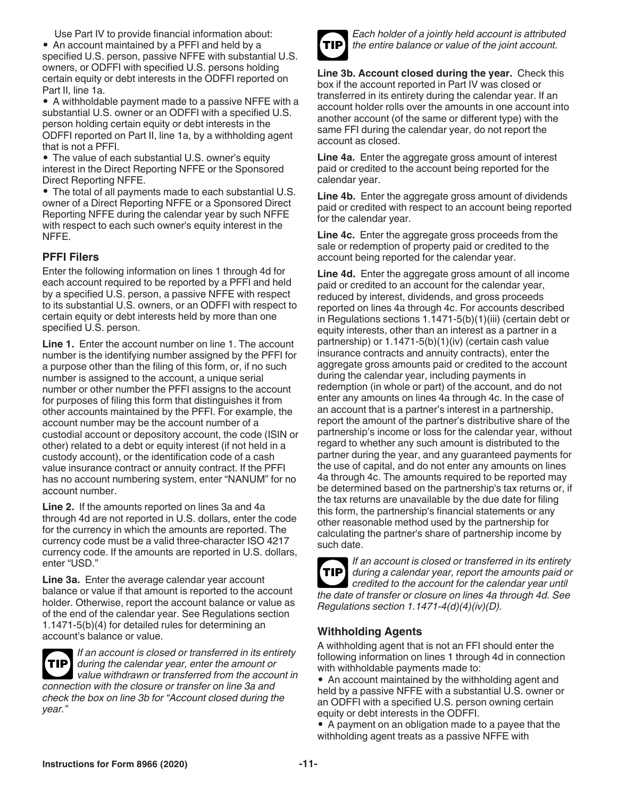Use Part IV to provide financial information about: • An account maintained by a PFFI and held by a specified U.S. person, passive NFFE with substantial U.S. owners, or ODFFI with specified U.S. persons holding certain equity or debt interests in the ODFFI reported on Part II, line 1a.

• A withholdable payment made to a passive NFFE with a substantial U.S. owner or an ODFFI with a specified U.S. person holding certain equity or debt interests in the ODFFI reported on Part II, line 1a, by a withholding agent that is not a PFFI.

• The value of each substantial U.S. owner's equity interest in the Direct Reporting NFFE or the Sponsored Direct Reporting NFFE.

• The total of all payments made to each substantial U.S. owner of a Direct Reporting NFFE or a Sponsored Direct Reporting NFFE during the calendar year by such NFFE with respect to each such owner's equity interest in the NFFE.

## **PFFI Filers**

Enter the following information on lines 1 through 4d for each account required to be reported by a PFFI and held by a specified U.S. person, a passive NFFE with respect to its substantial U.S. owners, or an ODFFI with respect to certain equity or debt interests held by more than one specified U.S. person.

Line 1. Enter the account number on line 1. The account number is the identifying number assigned by the PFFI for a purpose other than the filing of this form, or, if no such number is assigned to the account, a unique serial number or other number the PFFI assigns to the account for purposes of filing this form that distinguishes it from other accounts maintained by the PFFI. For example, the account number may be the account number of a custodial account or depository account, the code (ISIN or other) related to a debt or equity interest (if not held in a custody account), or the identification code of a cash value insurance contract or annuity contract. If the PFFI has no account numbering system, enter "NANUM" for no account number.

**Line 2.** If the amounts reported on lines 3a and 4a through 4d are not reported in U.S. dollars, enter the code for the currency in which the amounts are reported. The currency code must be a valid three-character ISO 4217 currency code. If the amounts are reported in U.S. dollars, enter "USD."

**Line 3a.** Enter the average calendar year account balance or value if that amount is reported to the account holder. Otherwise, report the account balance or value as of the end of the calendar year. See Regulations section 1.1471-5(b)(4) for detailed rules for determining an account's balance or value.



*year."*

*If an account is closed or transferred in its entirety during the calendar year, enter the amount or value withdrawn or transferred from the account in connection with the closure or transfer on line 3a and check the box on line 3b for "Account closed during the* 

**TIP**

*Each holder of a jointly held account is attributed the entire balance or value of the joint account.*

**Line 3b. Account closed during the year.** Check this box if the account reported in Part IV was closed or transferred in its entirety during the calendar year. If an account holder rolls over the amounts in one account into another account (of the same or different type) with the same FFI during the calendar year, do not report the account as closed.

**Line 4a.** Enter the aggregate gross amount of interest paid or credited to the account being reported for the calendar year.

**Line 4b.** Enter the aggregate gross amount of dividends paid or credited with respect to an account being reported for the calendar year.

**Line 4c.** Enter the aggregate gross proceeds from the sale or redemption of property paid or credited to the account being reported for the calendar year.

**Line 4d.** Enter the aggregate gross amount of all income paid or credited to an account for the calendar year, reduced by interest, dividends, and gross proceeds reported on lines 4a through 4c. For accounts described in Regulations sections 1.1471-5(b)(1)(iii) (certain debt or equity interests, other than an interest as a partner in a partnership) or 1.1471-5(b)(1)(iv) (certain cash value insurance contracts and annuity contracts), enter the aggregate gross amounts paid or credited to the account during the calendar year, including payments in redemption (in whole or part) of the account, and do not enter any amounts on lines 4a through 4c. In the case of an account that is a partner's interest in a partnership, report the amount of the partner's distributive share of the partnership's income or loss for the calendar year, without regard to whether any such amount is distributed to the partner during the year, and any guaranteed payments for the use of capital, and do not enter any amounts on lines 4a through 4c. The amounts required to be reported may be determined based on the partnership's tax returns or, if the tax returns are unavailable by the due date for filing this form, the partnership's financial statements or any other reasonable method used by the partnership for calculating the partner's share of partnership income by such date.



*If an account is closed or transferred in its entirety during a calendar year, report the amounts paid or*  **TIP** *credited to the account for the calendar year until the date of transfer or closure on lines 4a through 4d. See Regulations section 1.1471-4(d)(4)(iv)(D).*

## **Withholding Agents**

A withholding agent that is not an FFI should enter the following information on lines 1 through 4d in connection with withholdable payments made to:

• An account maintained by the withholding agent and held by a passive NFFE with a substantial U.S. owner or an ODFFI with a specified U.S. person owning certain equity or debt interests in the ODFFI.

• A payment on an obligation made to a payee that the withholding agent treats as a passive NFFE with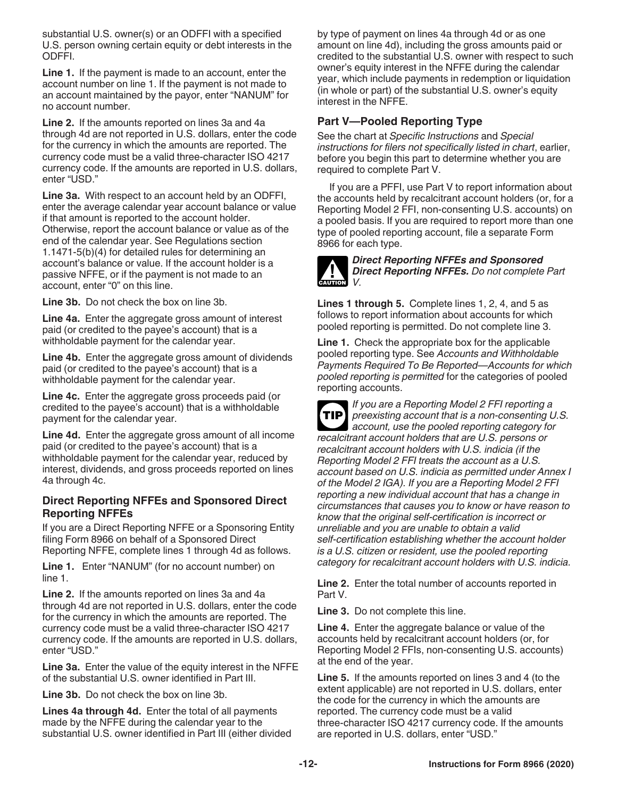substantial U.S. owner(s) or an ODFFI with a specified U.S. person owning certain equity or debt interests in the ODFFI.

**Line 1.** If the payment is made to an account, enter the account number on line 1. If the payment is not made to an account maintained by the payor, enter "NANUM" for no account number.

**Line 2.** If the amounts reported on lines 3a and 4a through 4d are not reported in U.S. dollars, enter the code for the currency in which the amounts are reported. The currency code must be a valid three-character ISO 4217 currency code. If the amounts are reported in U.S. dollars, enter "USD."

**Line 3a.** With respect to an account held by an ODFFI, enter the average calendar year account balance or value if that amount is reported to the account holder. Otherwise, report the account balance or value as of the end of the calendar year. See Regulations section 1.1471-5(b)(4) for detailed rules for determining an account's balance or value. If the account holder is a passive NFFE, or if the payment is not made to an account, enter "0" on this line.

**Line 3b.** Do not check the box on line 3b.

**Line 4a.** Enter the aggregate gross amount of interest paid (or credited to the payee's account) that is a withholdable payment for the calendar year.

**Line 4b.** Enter the aggregate gross amount of dividends paid (or credited to the payee's account) that is a withholdable payment for the calendar year.

**Line 4c.** Enter the aggregate gross proceeds paid (or credited to the payee's account) that is a withholdable payment for the calendar year.

**Line 4d.** Enter the aggregate gross amount of all income paid (or credited to the payee's account) that is a withholdable payment for the calendar year, reduced by interest, dividends, and gross proceeds reported on lines 4a through 4c.

#### **Direct Reporting NFFEs and Sponsored Direct Reporting NFFEs**

If you are a Direct Reporting NFFE or a Sponsoring Entity filing Form 8966 on behalf of a Sponsored Direct Reporting NFFE, complete lines 1 through 4d as follows.

**Line 1.** Enter "NANUM" (for no account number) on line 1.

**Line 2.** If the amounts reported on lines 3a and 4a through 4d are not reported in U.S. dollars, enter the code for the currency in which the amounts are reported. The currency code must be a valid three-character ISO 4217 currency code. If the amounts are reported in U.S. dollars, enter "USD."

**Line 3a.** Enter the value of the equity interest in the NFFE of the substantial U.S. owner identified in Part III.

**Line 3b.** Do not check the box on line 3b.

**Lines 4a through 4d.** Enter the total of all payments made by the NFFE during the calendar year to the substantial U.S. owner identified in Part III (either divided by type of payment on lines 4a through 4d or as one amount on line 4d), including the gross amounts paid or credited to the substantial U.S. owner with respect to such owner's equity interest in the NFFE during the calendar year, which include payments in redemption or liquidation (in whole or part) of the substantial U.S. owner's equity interest in the NFFE.

#### **Part V—Pooled Reporting Type**

See the chart at *Specific Instructions* and *Special instructions for filers not specifically listed in chart*, earlier, before you begin this part to determine whether you are required to complete Part V.

If you are a PFFI, use Part V to report information about the accounts held by recalcitrant account holders (or, for a Reporting Model 2 FFI, non-consenting U.S. accounts) on a pooled basis. If you are required to report more than one type of pooled reporting account, file a separate Form 8966 for each type.



#### *Direct Reporting NFFEs and Sponsored Direct Reporting NFFEs. Do not complete Part V.*

**Lines 1 through 5.** Complete lines 1, 2, 4, and 5 as follows to report information about accounts for which pooled reporting is permitted. Do not complete line 3.

**Line 1.** Check the appropriate box for the applicable pooled reporting type. See *Accounts and Withholdable Payments Required To Be Reported—Accounts for which pooled reporting is permitted* for the categories of pooled reporting accounts.

*If you are a Reporting Model 2 FFI reporting a preexisting account that is a non-consenting U.S. account, use the pooled reporting category for recalcitrant account holders that are U.S. persons or recalcitrant account holders with U.S. indicia (if the Reporting Model 2 FFI treats the account as a U.S. account based on U.S. indicia as permitted under Annex I of the Model 2 IGA). If you are a Reporting Model 2 FFI reporting a new individual account that has a change in circumstances that causes you to know or have reason to know that the original self-certification is incorrect or unreliable and you are unable to obtain a valid self-certification establishing whether the account holder is a U.S. citizen or resident, use the pooled reporting category for recalcitrant account holders with U.S. indicia.* **TIP**

**Line 2.** Enter the total number of accounts reported in Part V.

**Line 3.** Do not complete this line.

**Line 4.** Enter the aggregate balance or value of the accounts held by recalcitrant account holders (or, for Reporting Model 2 FFIs, non-consenting U.S. accounts) at the end of the year.

**Line 5.** If the amounts reported on lines 3 and 4 (to the extent applicable) are not reported in U.S. dollars, enter the code for the currency in which the amounts are reported. The currency code must be a valid three-character ISO 4217 currency code. If the amounts are reported in U.S. dollars, enter "USD."